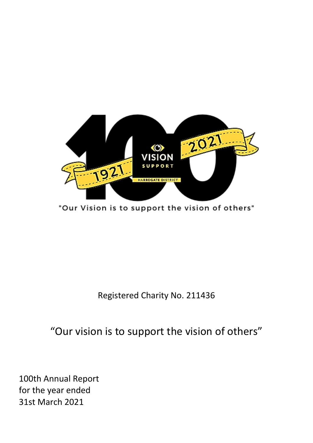

"Our Vision is to support the vision of others"

Registered Charity No. 211436

"Our vision is to support the vision of others"

100th Annual Report for the year ended 31st March 2021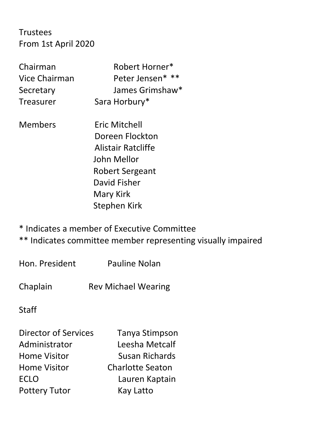# Trustees From 1st April 2020

| Chairman      | Robert Horner*   |
|---------------|------------------|
| Vice Chairman | Peter Jensen* ** |
| Secretary     | James Grimshaw*  |
| Treasurer     | Sara Horbury*    |

Members Eric Mitchell Doreen Flockton Alistair Ratcliffe John Mellor Robert Sergeant David Fisher Mary Kirk Stephen Kirk

\* Indicates a member of Executive Committee

\*\* Indicates committee member representing visually impaired

Hon. President Pauline Nolan

Chaplain Rev Michael Wearing

Staff

| <b>Director of Services</b> | Tanya Stimpson          |
|-----------------------------|-------------------------|
| Administrator               | Leesha Metcalf          |
| <b>Home Visitor</b>         | <b>Susan Richards</b>   |
| <b>Home Visitor</b>         | <b>Charlotte Seaton</b> |
| <b>ECLO</b>                 | Lauren Kaptain          |
| <b>Pottery Tutor</b>        | Kay Latto               |
|                             |                         |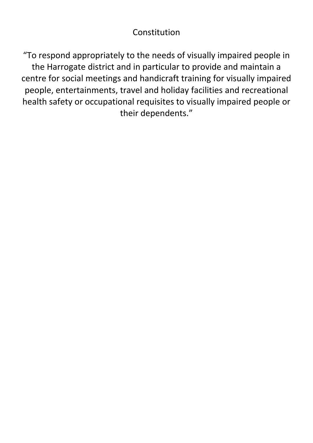# Constitution

"To respond appropriately to the needs of visually impaired people in the Harrogate district and in particular to provide and maintain a centre for social meetings and handicraft training for visually impaired people, entertainments, travel and holiday facilities and recreational health safety or occupational requisites to visually impaired people or their dependents."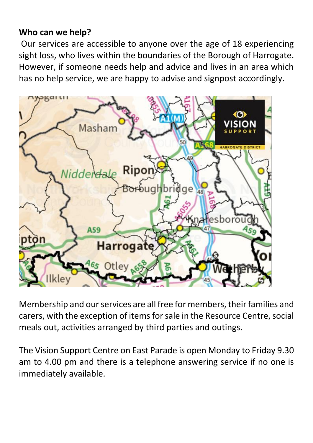### **Who can we help?**

Our services are accessible to anyone over the age of 18 experiencing sight loss, who lives within the boundaries of the Borough of Harrogate. However, if someone needs help and advice and lives in an area which has no help service, we are happy to advise and signpost accordingly.



Membership and our services are all free for members, their families and carers, with the exception of items for sale in the Resource Centre, social meals out, activities arranged by third parties and outings.

The Vision Support Centre on East Parade is open Monday to Friday 9.30 am to 4.00 pm and there is a telephone answering service if no one is immediately available.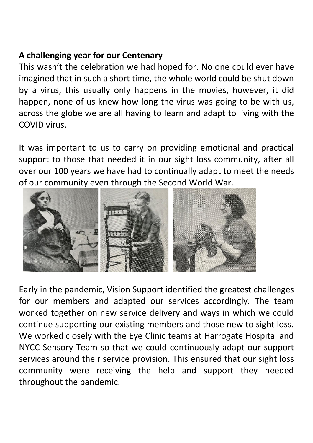### **A challenging year for our Centenary**

This wasn't the celebration we had hoped for. No one could ever have imagined that in such a short time, the whole world could be shut down by a virus, this usually only happens in the movies, however, it did happen, none of us knew how long the virus was going to be with us, across the globe we are all having to learn and adapt to living with the COVID virus.

It was important to us to carry on providing emotional and practical support to those that needed it in our sight loss community, after all over our 100 years we have had to continually adapt to meet the needs of our community even through the Second World War.



Early in the pandemic, Vision Support identified the greatest challenges for our members and adapted our services accordingly. The team worked together on new service delivery and ways in which we could continue supporting our existing members and those new to sight loss. We worked closely with the Eye Clinic teams at Harrogate Hospital and NYCC Sensory Team so that we could continuously adapt our support services around their service provision. This ensured that our sight loss community were receiving the help and support they needed throughout the pandemic.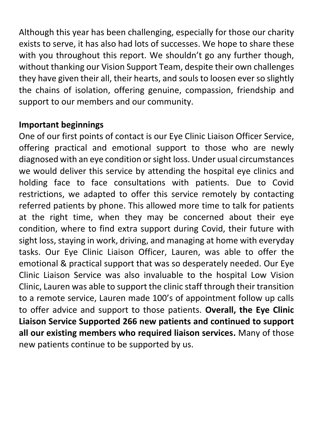Although this year has been challenging, especially for those our charity exists to serve, it has also had lots of successes. We hope to share these with you throughout this report. We shouldn't go any further though, without thanking our Vision Support Team, despite their own challenges they have given their all, their hearts, and souls to loosen ever so slightly the chains of isolation, offering genuine, compassion, friendship and support to our members and our community.

### **Important beginnings**

One of our first points of contact is our Eye Clinic Liaison Officer Service, offering practical and emotional support to those who are newly diagnosed with an eye condition or sight loss. Under usual circumstances we would deliver this service by attending the hospital eye clinics and holding face to face consultations with patients. Due to Covid restrictions, we adapted to offer this service remotely by contacting referred patients by phone. This allowed more time to talk for patients at the right time, when they may be concerned about their eye condition, where to find extra support during Covid, their future with sight loss, staying in work, driving, and managing at home with everyday tasks. Our Eye Clinic Liaison Officer, Lauren, was able to offer the emotional & practical support that was so desperately needed. Our Eye Clinic Liaison Service was also invaluable to the hospital Low Vision Clinic, Lauren was able to support the clinic staff through their transition to a remote service, Lauren made 100's of appointment follow up calls to offer advice and support to those patients. **Overall, the Eye Clinic Liaison Service Supported 266 new patients and continued to support all our existing members who required liaison services.** Many of those new patients continue to be supported by us.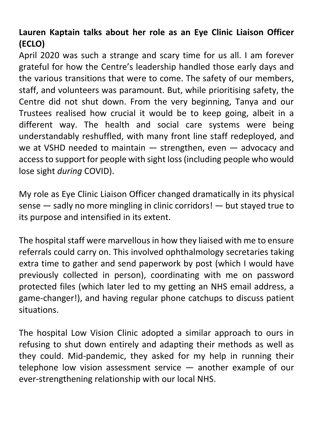# **Lauren Kaptain talks about her role as an Eye Clinic Liaison Officer (ECLO)**

April 2020 was such a strange and scary time for us all. I am forever grateful for how the Centre's leadership handled those early days and the various transitions that were to come. The safety of our members, staff, and volunteers was paramount. But, while prioritising safety, the Centre did not shut down. From the very beginning, Tanya and our Trustees realised how crucial it would be to keep going, albeit in a different way. The health and social care systems were being understandably reshuffled, with many front line staff redeployed, and we at VSHD needed to maintain — strengthen, even — advocacy and access to support for people with sight loss (including people who would lose sight *during* COVID).

My role as Eye Clinic Liaison Officer changed dramatically in its physical sense — sadly no more mingling in clinic corridors! — but stayed true to its purpose and intensified in its extent.

The hospital staff were marvellous in how they liaised with me to ensure referrals could carry on. This involved ophthalmology secretaries taking extra time to gather and send paperwork by post (which I would have previously collected in person), coordinating with me on password protected files (which later led to my getting an NHS email address, a game-changer!), and having regular phone catchups to discuss patient situations.

The hospital Low Vision Clinic adopted a similar approach to ours in refusing to shut down entirely and adapting their methods as well as they could. Mid-pandemic, they asked for my help in running their telephone low vision assessment service — another example of our ever-strengthening relationship with our local NHS.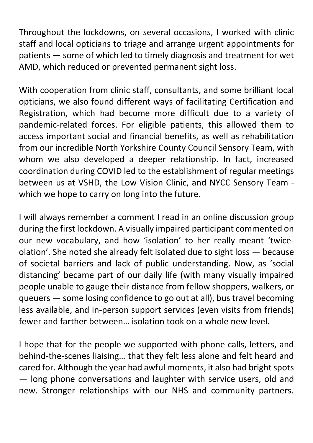Throughout the lockdowns, on several occasions, I worked with clinic staff and local opticians to triage and arrange urgent appointments for patients — some of which led to timely diagnosis and treatment for wet AMD, which reduced or prevented permanent sight loss.

With cooperation from clinic staff, consultants, and some brilliant local opticians, we also found different ways of facilitating Certification and Registration, which had become more difficult due to a variety of pandemic-related forces. For eligible patients, this allowed them to access important social and financial benefits, as well as rehabilitation from our incredible North Yorkshire County Council Sensory Team, with whom we also developed a deeper relationship. In fact, increased coordination during COVID led to the establishment of regular meetings between us at VSHD, the Low Vision Clinic, and NYCC Sensory Team which we hope to carry on long into the future.

I will always remember a comment I read in an online discussion group during the first lockdown. A visually impaired participant commented on our new vocabulary, and how 'isolation' to her really meant 'twiceolation'. She noted she already felt isolated due to sight loss — because of societal barriers and lack of public understanding. Now, as 'social distancing' became part of our daily life (with many visually impaired people unable to gauge their distance from fellow shoppers, walkers, or queuers — some losing confidence to go out at all), bus travel becoming less available, and in-person support services (even visits from friends) fewer and farther between… isolation took on a whole new level.

I hope that for the people we supported with phone calls, letters, and behind-the-scenes liaising… that they felt less alone and felt heard and cared for. Although the year had awful moments, it also had bright spots — long phone conversations and laughter with service users, old and new. Stronger relationships with our NHS and community partners.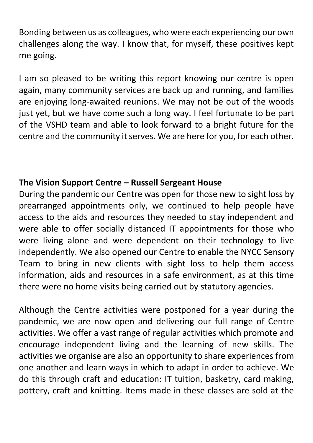Bonding between us as colleagues, who were each experiencing our own challenges along the way. I know that, for myself, these positives kept me going.

I am so pleased to be writing this report knowing our centre is open again, many community services are back up and running, and families are enjoying long-awaited reunions. We may not be out of the woods just yet, but we have come such a long way. I feel fortunate to be part of the VSHD team and able to look forward to a bright future for the centre and the community it serves. We are here for you, for each other.

# **The Vision Support Centre – Russell Sergeant House**

During the pandemic our Centre was open for those new to sight loss by prearranged appointments only, we continued to help people have access to the aids and resources they needed to stay independent and were able to offer socially distanced IT appointments for those who were living alone and were dependent on their technology to live independently. We also opened our Centre to enable the NYCC Sensory Team to bring in new clients with sight loss to help them access information, aids and resources in a safe environment, as at this time there were no home visits being carried out by statutory agencies.

Although the Centre activities were postponed for a year during the pandemic, we are now open and delivering our full range of Centre activities. We offer a vast range of regular activities which promote and encourage independent living and the learning of new skills. The activities we organise are also an opportunity to share experiences from one another and learn ways in which to adapt in order to achieve. We do this through craft and education: IT tuition, basketry, card making, pottery, craft and knitting. Items made in these classes are sold at the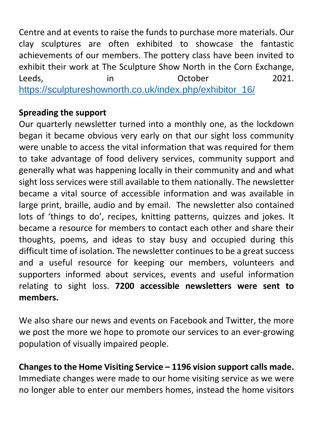Centre and at events to raise the funds to purchase more materials. Our clay sculptures are often exhibited to showcase the fantastic achievements of our members. The pottery class have been invited to exhibit their work at The Sculpture Show North in the Corn Exchange, Leeds, The Communication in the Coroller control of the 2021. [https://sculptureshownorth.co.uk/index.php/exhibitor\\_16/](https://sculptureshownorth.co.uk/index.php/exhibitor_16/)

# **Spreading the support**

Our quarterly newsletter turned into a monthly one, as the lockdown began it became obvious very early on that our sight loss community were unable to access the vital information that was required for them to take advantage of food delivery services, community support and generally what was happening locally in their community and and what sight loss services were still available to them nationally. The newsletter became a vital source of accessible information and was available in large print, braille, audio and by email. The newsletter also contained lots of 'things to do', recipes, knitting patterns, quizzes and jokes. It became a resource for members to contact each other and share their thoughts, poems, and ideas to stay busy and occupied during this difficult time of isolation. The newsletter continues to be a great success and a useful resource for keeping our members, volunteers and supporters informed about services, events and useful information relating to sight loss. **7200 accessible newsletters were sent to members.**

We also share our news and events on Facebook and Twitter, the more we post the more we hope to promote our services to an ever-growing population of visually impaired people.

**Changes to the Home Visiting Service – 1196 vision support calls made.** Immediate changes were made to our home visiting service as we were no longer able to enter our members homes, instead the home visitors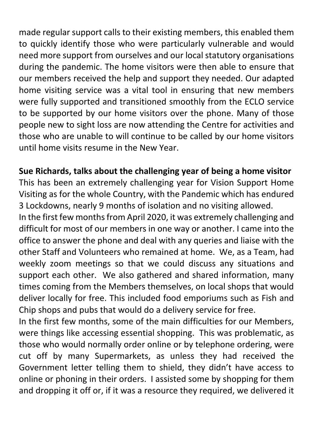made regular support calls to their existing members, this enabled them to quickly identify those who were particularly vulnerable and would need more support from ourselves and our local statutory organisations during the pandemic. The home visitors were then able to ensure that our members received the help and support they needed. Our adapted home visiting service was a vital tool in ensuring that new members were fully supported and transitioned smoothly from the ECLO service to be supported by our home visitors over the phone. Many of those people new to sight loss are now attending the Centre for activities and those who are unable to will continue to be called by our home visitors until home visits resume in the New Year.

# **Sue Richards, talks about the challenging year of being a home visitor**

This has been an extremely challenging year for Vision Support Home Visiting as for the whole Country, with the Pandemic which has endured 3 Lockdowns, nearly 9 months of isolation and no visiting allowed.

In the first few months from April 2020, it was extremely challenging and difficult for most of our members in one way or another. I came into the office to answer the phone and deal with any queries and liaise with the other Staff and Volunteers who remained at home. We, as a Team, had weekly zoom meetings so that we could discuss any situations and support each other. We also gathered and shared information, many times coming from the Members themselves, on local shops that would deliver locally for free. This included food emporiums such as Fish and Chip shops and pubs that would do a delivery service for free.

In the first few months, some of the main difficulties for our Members, were things like accessing essential shopping. This was problematic, as those who would normally order online or by telephone ordering, were cut off by many Supermarkets, as unless they had received the Government letter telling them to shield, they didn't have access to online or phoning in their orders. I assisted some by shopping for them and dropping it off or, if it was a resource they required, we delivered it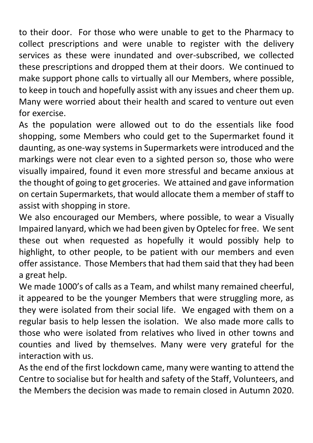to their door. For those who were unable to get to the Pharmacy to collect prescriptions and were unable to register with the delivery services as these were inundated and over-subscribed, we collected these prescriptions and dropped them at their doors. We continued to make support phone calls to virtually all our Members, where possible, to keep in touch and hopefully assist with any issues and cheer them up. Many were worried about their health and scared to venture out even for exercise.

As the population were allowed out to do the essentials like food shopping, some Members who could get to the Supermarket found it daunting, as one-way systems in Supermarkets were introduced and the markings were not clear even to a sighted person so, those who were visually impaired, found it even more stressful and became anxious at the thought of going to get groceries. We attained and gave information on certain Supermarkets, that would allocate them a member of staff to assist with shopping in store.

We also encouraged our Members, where possible, to wear a Visually Impaired lanyard, which we had been given by Optelec for free. We sent these out when requested as hopefully it would possibly help to highlight, to other people, to be patient with our members and even offer assistance. Those Members that had them said that they had been a great help.

We made 1000's of calls as a Team, and whilst many remained cheerful, it appeared to be the younger Members that were struggling more, as they were isolated from their social life. We engaged with them on a regular basis to help lessen the isolation. We also made more calls to those who were isolated from relatives who lived in other towns and counties and lived by themselves. Many were very grateful for the interaction with us.

As the end of the first lockdown came, many were wanting to attend the Centre to socialise but for health and safety of the Staff, Volunteers, and the Members the decision was made to remain closed in Autumn 2020.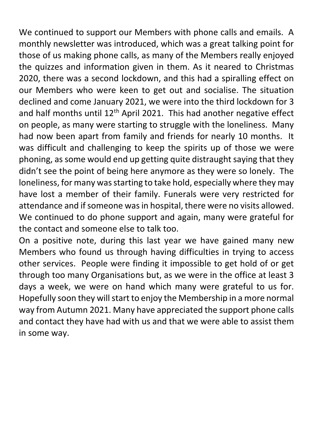We continued to support our Members with phone calls and emails. A monthly newsletter was introduced, which was a great talking point for those of us making phone calls, as many of the Members really enjoyed the quizzes and information given in them. As it neared to Christmas 2020, there was a second lockdown, and this had a spiralling effect on our Members who were keen to get out and socialise. The situation declined and come January 2021, we were into the third lockdown for 3 and half months until  $12<sup>th</sup>$  April 2021. This had another negative effect on people, as many were starting to struggle with the loneliness. Many had now been apart from family and friends for nearly 10 months. It was difficult and challenging to keep the spirits up of those we were phoning, as some would end up getting quite distraught saying that they didn't see the point of being here anymore as they were so lonely. The loneliness, for many was starting to take hold, especially where they may have lost a member of their family. Funerals were very restricted for attendance and if someone was in hospital, there were no visits allowed. We continued to do phone support and again, many were grateful for the contact and someone else to talk too.

On a positive note, during this last year we have gained many new Members who found us through having difficulties in trying to access other services. People were finding it impossible to get hold of or get through too many Organisations but, as we were in the office at least 3 days a week, we were on hand which many were grateful to us for. Hopefully soon they will start to enjoy the Membership in a more normal way from Autumn 2021. Many have appreciated the support phone calls and contact they have had with us and that we were able to assist them in some way.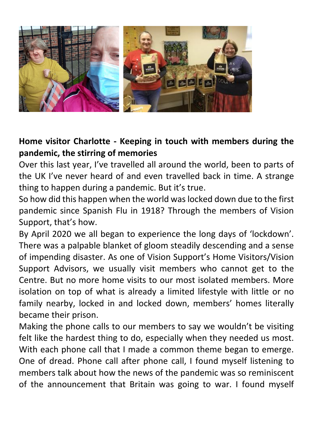

### **Home visitor Charlotte - Keeping in touch with members during the pandemic, the stirring of memories**

Over this last year, I've travelled all around the world, been to parts of the UK I've never heard of and even travelled back in time. A strange thing to happen during a pandemic. But it's true.

So how did this happen when the world was locked down due to the first pandemic since Spanish Flu in 1918? Through the members of Vision Support, that's how.

By April 2020 we all began to experience the long days of 'lockdown'. There was a palpable blanket of gloom steadily descending and a sense of impending disaster. As one of Vision Support's Home Visitors/Vision Support Advisors, we usually visit members who cannot get to the Centre. But no more home visits to our most isolated members. More isolation on top of what is already a limited lifestyle with little or no family nearby, locked in and locked down, members' homes literally became their prison.

Making the phone calls to our members to say we wouldn't be visiting felt like the hardest thing to do, especially when they needed us most. With each phone call that I made a common theme began to emerge. One of dread. Phone call after phone call, I found myself listening to members talk about how the news of the pandemic was so reminiscent of the announcement that Britain was going to war. I found myself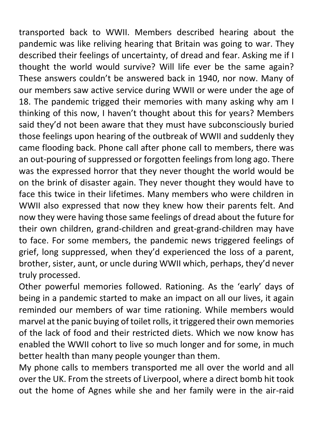transported back to WWII. Members described hearing about the pandemic was like reliving hearing that Britain was going to war. They described their feelings of uncertainty, of dread and fear. Asking me if I thought the world would survive? Will life ever be the same again? These answers couldn't be answered back in 1940, nor now. Many of our members saw active service during WWII or were under the age of 18. The pandemic trigged their memories with many asking why am I thinking of this now, I haven't thought about this for years? Members said they'd not been aware that they must have subconsciously buried those feelings upon hearing of the outbreak of WWII and suddenly they came flooding back. Phone call after phone call to members, there was an out-pouring of suppressed or forgotten feelings from long ago. There was the expressed horror that they never thought the world would be on the brink of disaster again. They never thought they would have to face this twice in their lifetimes. Many members who were children in WWII also expressed that now they knew how their parents felt. And now they were having those same feelings of dread about the future for their own children, grand-children and great-grand-children may have to face. For some members, the pandemic news triggered feelings of grief, long suppressed, when they'd experienced the loss of a parent, brother, sister, aunt, or uncle during WWII which, perhaps, they'd never truly processed.

Other powerful memories followed. Rationing. As the 'early' days of being in a pandemic started to make an impact on all our lives, it again reminded our members of war time rationing. While members would marvel at the panic buying of toilet rolls, it triggered their own memories of the lack of food and their restricted diets. Which we now know has enabled the WWII cohort to live so much longer and for some, in much better health than many people younger than them.

My phone calls to members transported me all over the world and all over the UK. From the streets of Liverpool, where a direct bomb hit took out the home of Agnes while she and her family were in the air-raid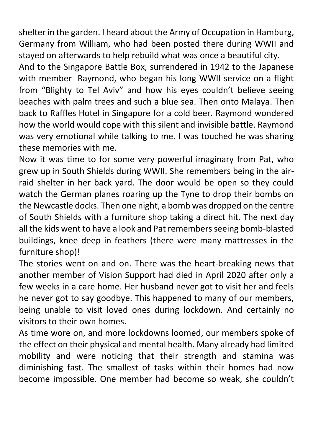shelter in the garden. I heard about the Army of Occupation in Hamburg, Germany from William, who had been posted there during WWII and stayed on afterwards to help rebuild what was once a beautiful city.

And to the Singapore Battle Box, surrendered in 1942 to the Japanese with member Raymond, who began his long WWII service on a flight from "Blighty to Tel Aviv" and how his eyes couldn't believe seeing beaches with palm trees and such a blue sea. Then onto Malaya. Then back to Raffles Hotel in Singapore for a cold beer. Raymond wondered how the world would cope with this silent and invisible battle. Raymond was very emotional while talking to me. I was touched he was sharing these memories with me.

Now it was time to for some very powerful imaginary from Pat, who grew up in South Shields during WWII. She remembers being in the airraid shelter in her back yard. The door would be open so they could watch the German planes roaring up the Tyne to drop their bombs on the Newcastle docks. Then one night, a bomb was dropped on the centre of South Shields with a furniture shop taking a direct hit. The next day all the kids went to have a look and Pat remembers seeing bomb-blasted buildings, knee deep in feathers (there were many mattresses in the furniture shop)!

The stories went on and on. There was the heart-breaking news that another member of Vision Support had died in April 2020 after only a few weeks in a care home. Her husband never got to visit her and feels he never got to say goodbye. This happened to many of our members, being unable to visit loved ones during lockdown. And certainly no visitors to their own homes.

As time wore on, and more lockdowns loomed, our members spoke of the effect on their physical and mental health. Many already had limited mobility and were noticing that their strength and stamina was diminishing fast. The smallest of tasks within their homes had now become impossible. One member had become so weak, she couldn't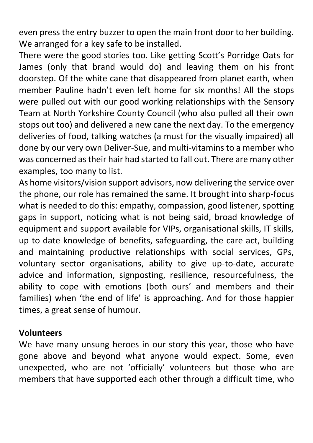even press the entry buzzer to open the main front door to her building. We arranged for a key safe to be installed.

There were the good stories too. Like getting Scott's Porridge Oats for James (only that brand would do) and leaving them on his front doorstep. Of the white cane that disappeared from planet earth, when member Pauline hadn't even left home for six months! All the stops were pulled out with our good working relationships with the Sensory Team at North Yorkshire County Council (who also pulled all their own stops out too) and delivered a new cane the next day. To the emergency deliveries of food, talking watches (a must for the visually impaired) all done by our very own Deliver-Sue, and multi-vitamins to a member who was concerned as their hair had started to fall out. There are many other examples, too many to list.

As home visitors/vision support advisors, now delivering the service over the phone, our role has remained the same. It brought into sharp-focus what is needed to do this: empathy, compassion, good listener, spotting gaps in support, noticing what is not being said, broad knowledge of equipment and support available for VIPs, organisational skills, IT skills, up to date knowledge of benefits, safeguarding, the care act, building and maintaining productive relationships with social services, GPs, voluntary sector organisations, ability to give up-to-date, accurate advice and information, signposting, resilience, resourcefulness, the ability to cope with emotions (both ours' and members and their families) when 'the end of life' is approaching. And for those happier times, a great sense of humour.

#### **Volunteers**

We have many unsung heroes in our story this year, those who have gone above and beyond what anyone would expect. Some, even unexpected, who are not 'officially' volunteers but those who are members that have supported each other through a difficult time, who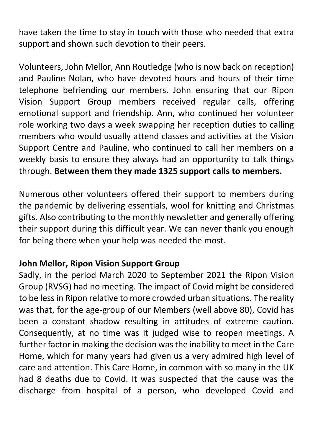have taken the time to stay in touch with those who needed that extra support and shown such devotion to their peers.

Volunteers, John Mellor, Ann Routledge (who is now back on reception) and Pauline Nolan, who have devoted hours and hours of their time telephone befriending our members. John ensuring that our Ripon Vision Support Group members received regular calls, offering emotional support and friendship. Ann, who continued her volunteer role working two days a week swapping her reception duties to calling members who would usually attend classes and activities at the Vision Support Centre and Pauline, who continued to call her members on a weekly basis to ensure they always had an opportunity to talk things through. **Between them they made 1325 support calls to members.**

Numerous other volunteers offered their support to members during the pandemic by delivering essentials, wool for knitting and Christmas gifts. Also contributing to the monthly newsletter and generally offering their support during this difficult year. We can never thank you enough for being there when your help was needed the most.

#### **John Mellor, Ripon Vision Support Group**

Sadly, in the period March 2020 to September 2021 the Ripon Vision Group (RVSG) had no meeting. The impact of Covid might be considered to be less in Ripon relative to more crowded urban situations. The reality was that, for the age-group of our Members (well above 80), Covid has been a constant shadow resulting in attitudes of extreme caution. Consequently, at no time was it judged wise to reopen meetings. A further factor in making the decision was the inability to meet in the Care Home, which for many years had given us a very admired high level of care and attention. This Care Home, in common with so many in the UK had 8 deaths due to Covid. It was suspected that the cause was the discharge from hospital of a person, who developed Covid and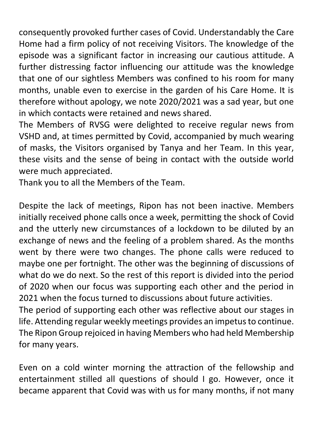consequently provoked further cases of Covid. Understandably the Care Home had a firm policy of not receiving Visitors. The knowledge of the episode was a significant factor in increasing our cautious attitude. A further distressing factor influencing our attitude was the knowledge that one of our sightless Members was confined to his room for many months, unable even to exercise in the garden of his Care Home. It is therefore without apology, we note 2020/2021 was a sad year, but one in which contacts were retained and news shared.

The Members of RVSG were delighted to receive regular news from VSHD and, at times permitted by Covid, accompanied by much wearing of masks, the Visitors organised by Tanya and her Team. In this year, these visits and the sense of being in contact with the outside world were much appreciated.

Thank you to all the Members of the Team.

Despite the lack of meetings, Ripon has not been inactive. Members initially received phone calls once a week, permitting the shock of Covid and the utterly new circumstances of a lockdown to be diluted by an exchange of news and the feeling of a problem shared. As the months went by there were two changes. The phone calls were reduced to maybe one per fortnight. The other was the beginning of discussions of what do we do next. So the rest of this report is divided into the period of 2020 when our focus was supporting each other and the period in 2021 when the focus turned to discussions about future activities.

The period of supporting each other was reflective about our stages in life. Attending regular weekly meetings provides an impetus to continue. The Ripon Group rejoiced in having Members who had held Membership for many years.

Even on a cold winter morning the attraction of the fellowship and entertainment stilled all questions of should I go. However, once it became apparent that Covid was with us for many months, if not many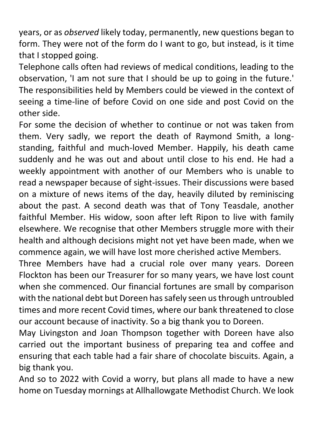years, or as *observed* likely today, permanently, new questions began to form. They were not of the form do I want to go, but instead, is it time that I stopped going.

Telephone calls often had reviews of medical conditions, leading to the observation, 'I am not sure that I should be up to going in the future.' The responsibilities held by Members could be viewed in the context of seeing a time-line of before Covid on one side and post Covid on the other side.

For some the decision of whether to continue or not was taken from them. Very sadly, we report the death of Raymond Smith, a longstanding, faithful and much-loved Member. Happily, his death came suddenly and he was out and about until close to his end. He had a weekly appointment with another of our Members who is unable to read a newspaper because of sight-issues. Their discussions were based on a mixture of news items of the day, heavily diluted by reminiscing about the past. A second death was that of Tony Teasdale, another faithful Member. His widow, soon after left Ripon to live with family elsewhere. We recognise that other Members struggle more with their health and although decisions might not yet have been made, when we commence again, we will have lost more cherished active Members.

Three Members have had a crucial role over many years. Doreen Flockton has been our Treasurer for so many years, we have lost count when she commenced. Our financial fortunes are small by comparison with the national debt but Doreen has safely seen us through untroubled times and more recent Covid times, where our bank threatened to close our account because of inactivity. So a big thank you to Doreen.

May Livingston and Joan Thompson together with Doreen have also carried out the important business of preparing tea and coffee and ensuring that each table had a fair share of chocolate biscuits. Again, a big thank you.

And so to 2022 with Covid a worry, but plans all made to have a new home on Tuesday mornings at Allhallowgate Methodist Church. We look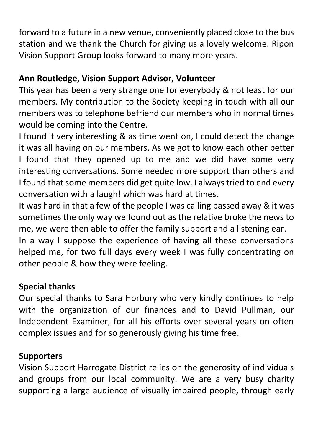forward to a future in a new venue, conveniently placed close to the bus station and we thank the Church for giving us a lovely welcome. Ripon Vision Support Group looks forward to many more years.

# **Ann Routledge, Vision Support Advisor, Volunteer**

This year has been a very strange one for everybody & not least for our members. My contribution to the Society keeping in touch with all our members was to telephone befriend our members who in normal times would be coming into the Centre.

I found it very interesting & as time went on, I could detect the change it was all having on our members. As we got to know each other better I found that they opened up to me and we did have some very interesting conversations. Some needed more support than others and I found that some members did get quite low. I always tried to end every conversation with a laugh! which was hard at times.

It was hard in that a few of the people I was calling passed away & it was sometimes the only way we found out as the relative broke the news to me, we were then able to offer the family support and a listening ear.

In a way I suppose the experience of having all these conversations helped me, for two full days every week I was fully concentrating on other people & how they were feeling.

### **Special thanks**

Our special thanks to Sara Horbury who very kindly continues to help with the organization of our finances and to David Pullman, our Independent Examiner, for all his efforts over several years on often complex issues and for so generously giving his time free.

### **Supporters**

Vision Support Harrogate District relies on the generosity of individuals and groups from our local community. We are a very busy charity supporting a large audience of visually impaired people, through early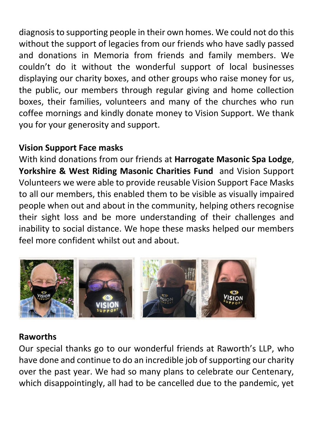diagnosis to supporting people in their own homes. We could not do this without the support of legacies from our friends who have sadly passed and donations in Memoria from friends and family members. We couldn't do it without the wonderful support of local businesses displaying our charity boxes, and other groups who raise money for us, the public, our members through regular giving and home collection boxes, their families, volunteers and many of the churches who run coffee mornings and kindly donate money to Vision Support. We thank you for your generosity and support.

# **Vision Support Face masks**

With kind donations from our friends at **Harrogate Masonic Spa Lodge**, **Yorkshire & West Riding Masonic Charities Fund** and Vision Support Volunteers we were able to provide reusable Vision Support Face Masks to all our members, this enabled them to be visible as visually impaired people when out and about in the community, helping others recognise their sight loss and be more understanding of their challenges and inability to social distance. We hope these masks helped our members feel more confident whilst out and about.



### **Raworths**

Our special thanks go to our wonderful friends at Raworth's LLP, who have done and continue to do an incredible job of supporting our charity over the past year. We had so many plans to celebrate our Centenary, which disappointingly, all had to be cancelled due to the pandemic, yet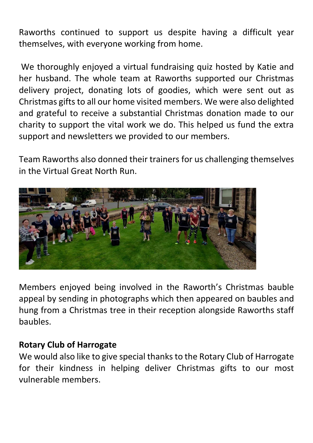Raworths continued to support us despite having a difficult year themselves, with everyone working from home.

We thoroughly enjoyed a virtual fundraising quiz hosted by Katie and her husband. The whole team at Raworths supported our Christmas delivery project, donating lots of goodies, which were sent out as Christmas gifts to all our home visited members. We were also delighted and grateful to receive a substantial Christmas donation made to our charity to support the vital work we do. This helped us fund the extra support and newsletters we provided to our members.

Team Raworths also donned their trainers for us challenging themselves in the Virtual Great North Run.



Members enjoyed being involved in the Raworth's Christmas bauble appeal by sending in photographs which then appeared on baubles and hung from a Christmas tree in their reception alongside Raworths staff baubles.

#### **Rotary Club of Harrogate**

We would also like to give special thanks to the Rotary Club of Harrogate for their kindness in helping deliver Christmas gifts to our most vulnerable members.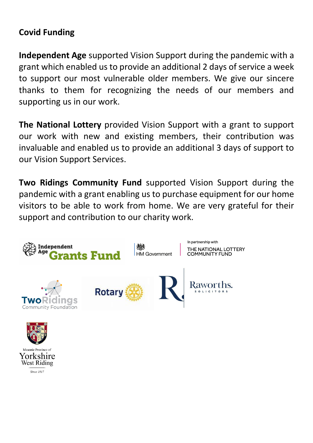# **Covid Funding**

**Independent Age** supported Vision Support during the pandemic with a grant which enabled us to provide an additional 2 days of service a week to support our most vulnerable older members. We give our sincere thanks to them for recognizing the needs of our members and supporting us in our work.

**The National Lottery** provided Vision Support with a grant to support our work with new and existing members, their contribution was invaluable and enabled us to provide an additional 3 days of support to our Vision Support Services.

**Two Ridings Community Fund** supported Vision Support during the pandemic with a grant enabling us to purchase equipment for our home visitors to be able to work from home. We are very grateful for their support and contribution to our charity work.





**Since 1817**